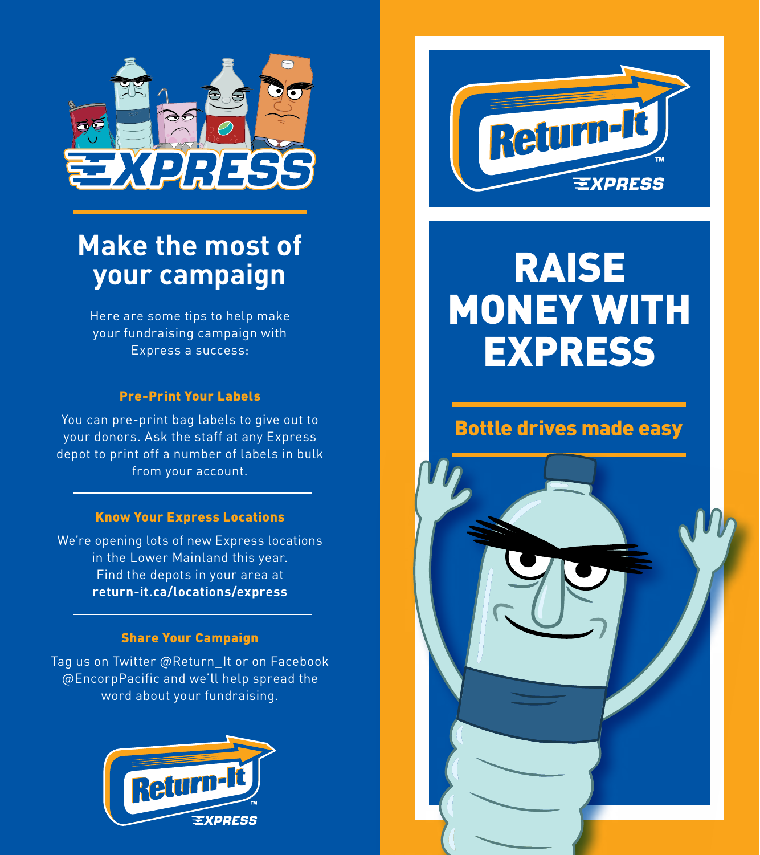

## **Make the most of your campaign**

Here are some tips to help make your fundraising campaign with Express a success:

### Pre-Print Your Labels

You can pre-print bag labels to give out to your donors. Ask the staff at any Express depot to print off a number of labels in bulk from your account.

#### Know Your Express Locations

We're opening lots of new Express locations in the Lower Mainland this year. Find the depots in your area at **return-it.ca/locations/express**

#### Share Your Campaign

Tag us on Twitter @Return\_It or on Facebook @EncorpPacific and we'll help spread the word about your fundraising.





# RAISE MONEY WITH **EXPRESS**

### Bottle drives made easy